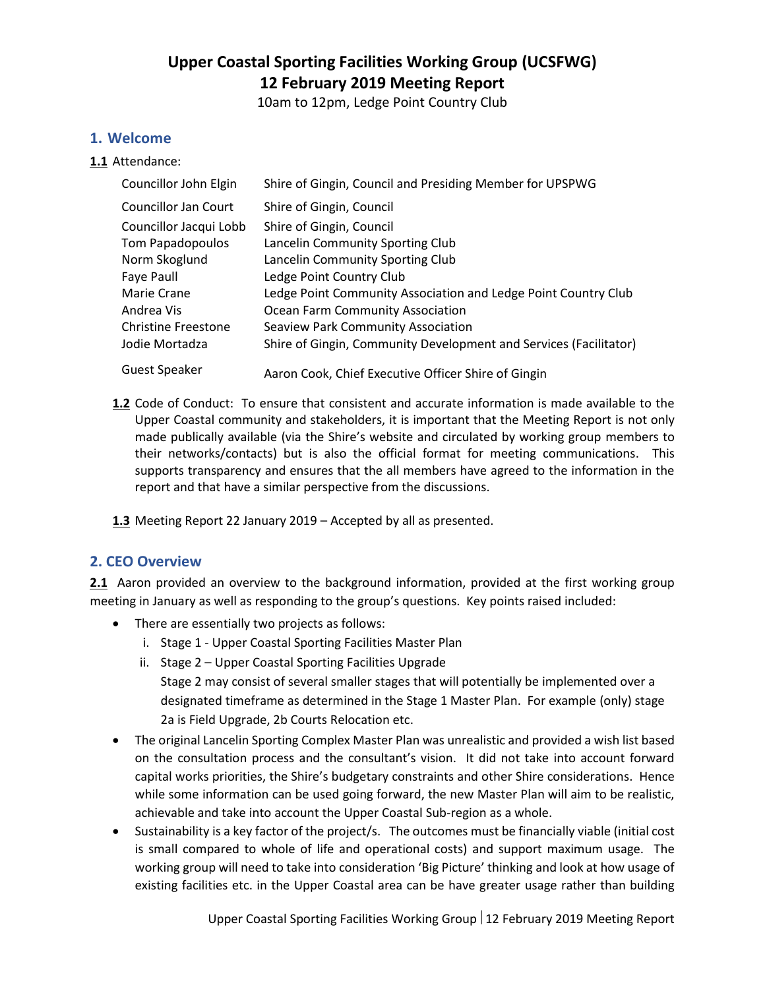# **Upper Coastal Sporting Facilities Working Group (UCSFWG) 12 February 2019 Meeting Report**

10am to 12pm, Ledge Point Country Club

#### **1. Welcome**

#### **1.1** Attendance:

| Councillor John Elgin      | Shire of Gingin, Council and Presiding Member for UPSPWG          |
|----------------------------|-------------------------------------------------------------------|
| Councillor Jan Court       | Shire of Gingin, Council                                          |
| Councillor Jacqui Lobb     | Shire of Gingin, Council                                          |
| Tom Papadopoulos           | Lancelin Community Sporting Club                                  |
| Norm Skoglund              | Lancelin Community Sporting Club                                  |
| Faye Paull                 | Ledge Point Country Club                                          |
| Marie Crane                | Ledge Point Community Association and Ledge Point Country Club    |
| Andrea Vis                 | Ocean Farm Community Association                                  |
| <b>Christine Freestone</b> | Seaview Park Community Association                                |
| Jodie Mortadza             | Shire of Gingin, Community Development and Services (Facilitator) |
| <b>Guest Speaker</b>       | Aaron Cook, Chief Executive Officer Shire of Gingin               |

- **1.2** Code of Conduct: To ensure that consistent and accurate information is made available to the Upper Coastal community and stakeholders, it is important that the Meeting Report is not only made publically available (via the Shire's website and circulated by working group members to their networks/contacts) but is also the official format for meeting communications. This supports transparency and ensures that the all members have agreed to the information in the report and that have a similar perspective from the discussions.
- **1.3** Meeting Report 22 January 2019 Accepted by all as presented.

#### **2. CEO Overview**

**2.1** Aaron provided an overview to the background information, provided at the first working group meeting in January as well as responding to the group's questions. Key points raised included:

- There are essentially two projects as follows:
	- i. Stage 1 Upper Coastal Sporting Facilities Master Plan
	- ii. Stage 2 Upper Coastal Sporting Facilities Upgrade Stage 2 may consist of several smaller stages that will potentially be implemented over a designated timeframe as determined in the Stage 1 Master Plan. For example (only) stage 2a is Field Upgrade, 2b Courts Relocation etc.
- The original Lancelin Sporting Complex Master Plan was unrealistic and provided a wish list based on the consultation process and the consultant's vision. It did not take into account forward capital works priorities, the Shire's budgetary constraints and other Shire considerations. Hence while some information can be used going forward, the new Master Plan will aim to be realistic, achievable and take into account the Upper Coastal Sub-region as a whole.
- Sustainability is a key factor of the project/s. The outcomes must be financially viable (initial cost is small compared to whole of life and operational costs) and support maximum usage. The working group will need to take into consideration 'Big Picture' thinking and look at how usage of existing facilities etc. in the Upper Coastal area can be have greater usage rather than building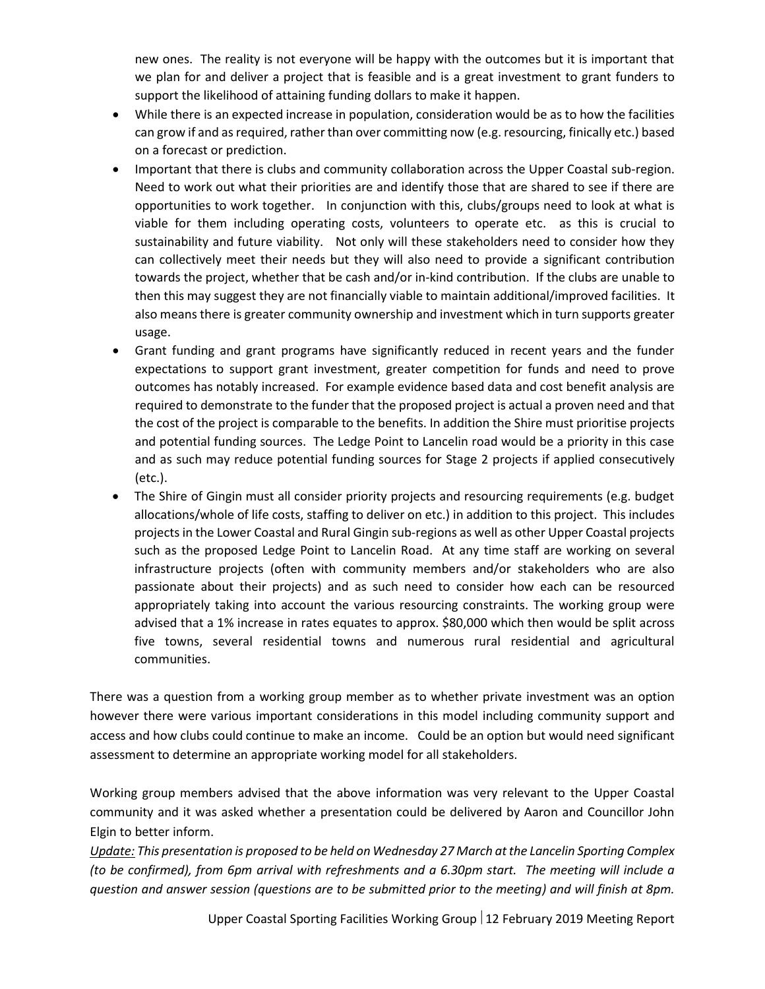new ones. The reality is not everyone will be happy with the outcomes but it is important that we plan for and deliver a project that is feasible and is a great investment to grant funders to support the likelihood of attaining funding dollars to make it happen.

- While there is an expected increase in population, consideration would be as to how the facilities can grow if and as required, rather than over committing now (e.g. resourcing, finically etc.) based on a forecast or prediction.
- Important that there is clubs and community collaboration across the Upper Coastal sub-region. Need to work out what their priorities are and identify those that are shared to see if there are opportunities to work together. In conjunction with this, clubs/groups need to look at what is viable for them including operating costs, volunteers to operate etc. as this is crucial to sustainability and future viability. Not only will these stakeholders need to consider how they can collectively meet their needs but they will also need to provide a significant contribution towards the project, whether that be cash and/or in-kind contribution. If the clubs are unable to then this may suggest they are not financially viable to maintain additional/improved facilities. It also means there is greater community ownership and investment which in turn supports greater usage.
- Grant funding and grant programs have significantly reduced in recent years and the funder expectations to support grant investment, greater competition for funds and need to prove outcomes has notably increased. For example evidence based data and cost benefit analysis are required to demonstrate to the funder that the proposed project is actual a proven need and that the cost of the project is comparable to the benefits. In addition the Shire must prioritise projects and potential funding sources. The Ledge Point to Lancelin road would be a priority in this case and as such may reduce potential funding sources for Stage 2 projects if applied consecutively (etc.).
- The Shire of Gingin must all consider priority projects and resourcing requirements (e.g. budget allocations/whole of life costs, staffing to deliver on etc.) in addition to this project. This includes projects in the Lower Coastal and Rural Gingin sub-regions as well as other Upper Coastal projects such as the proposed Ledge Point to Lancelin Road. At any time staff are working on several infrastructure projects (often with community members and/or stakeholders who are also passionate about their projects) and as such need to consider how each can be resourced appropriately taking into account the various resourcing constraints. The working group were advised that a 1% increase in rates equates to approx. \$80,000 which then would be split across five towns, several residential towns and numerous rural residential and agricultural communities.

There was a question from a working group member as to whether private investment was an option however there were various important considerations in this model including community support and access and how clubs could continue to make an income. Could be an option but would need significant assessment to determine an appropriate working model for all stakeholders.

Working group members advised that the above information was very relevant to the Upper Coastal community and it was asked whether a presentation could be delivered by Aaron and Councillor John Elgin to better inform.

*Update: This presentation is proposed to be held on Wednesday 27 March at the Lancelin Sporting Complex (to be confirmed), from 6pm arrival with refreshments and a 6.30pm start. The meeting will include a question and answer session (questions are to be submitted prior to the meeting) and will finish at 8pm.* 

Upper Coastal Sporting Facilities Working Group 12 February 2019 Meeting Report